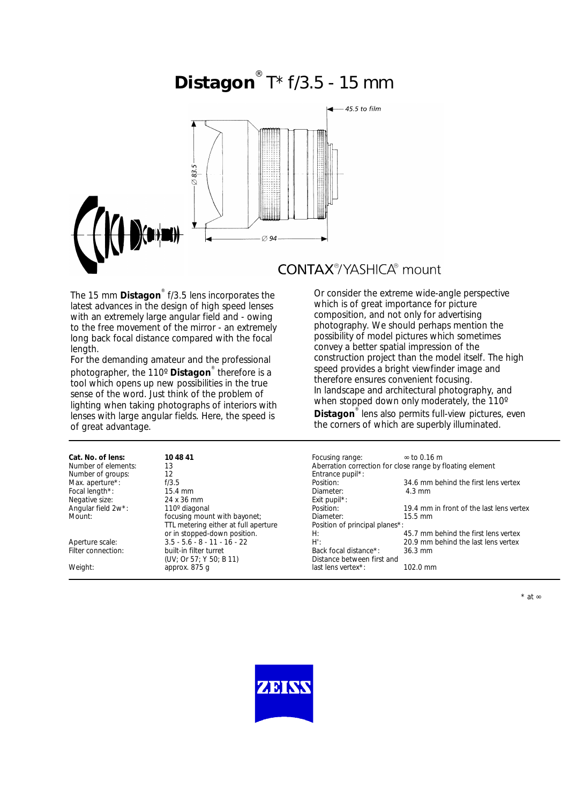# **Distagon** ® T\* f/3.5 - 15 mm



**CONTAX®/YASHICA®** mount

The 15 mm **Distagon**® f/3.5 lens incorporates the latest advances in the design of high speed lenses with an extremely large angular field and - owing to the free movement of the mirror - an extremely long back focal distance compared with the focal length.

For the demanding amateur and the professional photographer, the 110º **Distagon**® therefore is a tool which opens up new possibilities in the true sense of the word. Just think of the problem of lighting when taking photographs of interiors with lenses with large angular fields. Here, the speed is of great advantage.

| Or consider the extreme wide-angle perspective       |
|------------------------------------------------------|
| which is of great importance for picture             |
| composition, and not only for advertising            |
| photography. We should perhaps mention the           |
| possibility of model pictures which sometimes        |
| convey a better spatial impression of the            |
| construction project than the model itself. The high |
| speed provides a bright viewfinder image and         |
| therefore ensures convenient focusing.               |
| In landscape and architectural photography, and      |
| when stopped down only moderately, the 110°          |
|                                                      |

**Distagon**® lens also permits full-view pictures, even the corners of which are superbly illuminated.

| Cat. No. of lens:   | 10 48 41                             | Focusing range:                                           | $\approx$ to 0.16 m                      |  |
|---------------------|--------------------------------------|-----------------------------------------------------------|------------------------------------------|--|
| Number of elements: | 13                                   | Aberration correction for close range by floating element |                                          |  |
| Number of groups:   | 12                                   | Entrance pupil*:                                          |                                          |  |
| Max. aperture*:     | f/3.5                                | Position:                                                 | 34.6 mm behind the first lens vertex     |  |
| Focal length*:      | $15.4 \text{ mm}$                    | Diameter:                                                 | $4.3 \text{ mm}$                         |  |
| Negative size:      | 24 x 36 mm                           | Exit pupil <sup>*</sup> :                                 |                                          |  |
| Angular field 2w*:  | 110° diagonal                        | Position:                                                 | 19.4 mm in front of the last lens vertex |  |
| Mount:              | focusing mount with bayonet;         | Diameter:                                                 | $15.5 \text{ mm}$                        |  |
|                     | TTL metering either at full aperture | Position of principal planes*:                            |                                          |  |
|                     | or in stopped-down position.         | H:                                                        | 45.7 mm behind the first lens vertex     |  |
| Aperture scale:     | $3.5 - 5.6 - 8 - 11 - 16 - 22$       | H':                                                       | 20.9 mm behind the last lens vertex      |  |
| Filter connection:  | built-in filter turret               | Back focal distance*:                                     | $36.3 \text{ mm}$                        |  |
|                     | (UV; Or 57; Y 50; B 11)              | Distance between first and                                |                                          |  |
| Weight:             | approx. 875 q                        | last lens vertex*:                                        | $102.0 \text{ mm}$                       |  |
|                     |                                      |                                                           |                                          |  |



\* at ∞